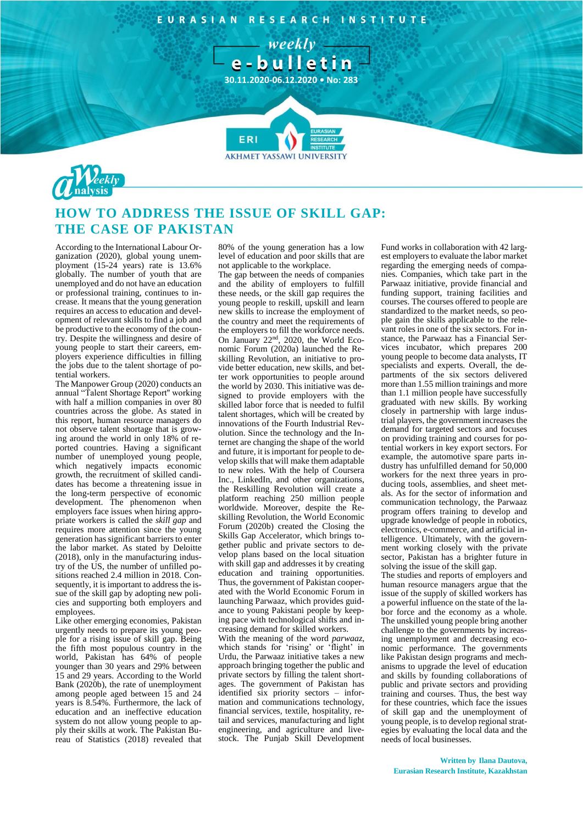EURASIAN RESEARCH INSTITUTE

weekly e-bulletin

**30.11.2020-06.12.2020 • No: 283**

**7**

**AKHMET YASSAWI UNIVERSIT** 



## **HOW TO ADDRESS THE ISSUE OF SKILL GAP: THE CASE OF PAKISTAN**

**FR** 

According to the International Labour Organization (2020), global young unemployment (15-24 years) rate is 13.6% globally. The number of youth that are unemployed and do not have an education or professional training, continues to increase. It means that the young generation requires an access to education and development of relevant skills to find a job and be productive to the economy of the country. Despite the willingness and desire of young people to start their careers, employers experience difficulties in filling the jobs due to the talent shortage of potential workers.

The Manpower Group (2020) conducts an annual "Talent Shortage Report'' working with half a million companies in over 80 countries across the globe. As stated in this report, human resource managers do not observe talent shortage that is growing around the world in only 18% of reported countries. Having a significant number of unemployed young people, which negatively impacts economic growth, the recruitment of skilled candidates has become a threatening issue in the long-term perspective of economic development. The phenomenon when employers face issues when hiring appropriate workers is called the *skill gap* and requires more attention since the young generation has significant barriers to enter the labor market. As stated by Deloitte (2018), only in the manufacturing industry of the US, the number of unfilled positions reached 2.4 million in 2018. Consequently, it is important to address the issue of the skill gap by adopting new policies and supporting both employers and employees.

Like other emerging economies, Pakistan urgently needs to prepare its young people for a rising issue of skill gap. Being the fifth most populous country in the world, Pakistan has 64% of people younger than 30 years and 29% between 15 and 29 years. According to the World Bank (2020b), the rate of unemployment among people aged between 15 and 24 years is 8.54%. Furthermore, the lack of education and an ineffective education system do not allow young people to apply their skills at work. The Pakistan Bureau of Statistics (2018) revealed that

80% of the young generation has a low level of education and poor skills that are not applicable to the workplace.

The gap between the needs of companies and the ability of employers to fulfill these needs, or the skill gap requires the young people to reskill, upskill and learn new skills to increase the employment of the country and meet the requirements of the employers to fill the workforce needs. On January 22nd, 2020, the World Economic Forum (2020a) launched the Reskilling Revolution, an initiative to provide better education, new skills, and better work opportunities to people around the world by 2030. This initiative was designed to provide employers with the skilled labor force that is needed to fulfil talent shortages, which will be created by innovations of the Fourth Industrial Revolution. Since the technology and the Internet are changing the shape of the world and future, it is important for people to develop skills that will make them adaptable to new roles. With the help of Coursera Inc., LinkedIn, and other organizations, the Reskilling Revolution will create a platform reaching 250 million people worldwide. Moreover, despite the Reskilling Revolution, the World Economic Forum (2020b) created the Closing the Skills Gap Accelerator, which brings together public and private sectors to develop plans based on the local situation with skill gap and addresses it by creating education and training opportunities. Thus, the government of Pakistan cooperated with the World Economic Forum in launching Parwaaz, which provides guidance to young Pakistani people by keeping pace with technological shifts and increasing demand for skilled workers.

With the meaning of the word *parwaaz*, which stands for 'rising' or 'flight' in Urdu, the Parwaaz initiative takes a new approach bringing together the public and private sectors by filling the talent shortages. The government of Pakistan has identified six priority sectors – information and communications technology, financial services, textile, hospitality, retail and services, manufacturing and light engineering, and agriculture and livestock. The Punjab Skill Development

Fund works in collaboration with 42 largest employers to evaluate the labor market regarding the emerging needs of companies. Companies, which take part in the Parwaaz initiative, provide financial and funding support, training facilities and courses. The courses offered to people are standardized to the market needs, so people gain the skills applicable to the relevant roles in one of the six sectors. For instance, the Parwaaz has a Financial Services incubator, which prepares 200 young people to become data analysts, IT specialists and experts. Overall, the departments of the six sectors delivered more than 1.55 million trainings and more than 1.1 million people have successfully graduated with new skills. By working closely in partnership with large industrial players, the government increases the demand for targeted sectors and focuses on providing training and courses for potential workers in key export sectors. For example, the automotive spare parts industry has unfulfilled demand for 50,000 workers for the next three years in producing tools, assemblies, and sheet metals. As for the sector of information and communication technology, the Parwaaz program offers training to develop and upgrade knowledge of people in robotics, electronics, e-commerce, and artificial intelligence. Ultimately, with the government working closely with the private sector, Pakistan has a brighter future in solving the issue of the skill gap.

The studies and reports of employers and human resource managers argue that the issue of the supply of skilled workers has a powerful influence on the state of the labor force and the economy as a whole. The unskilled young people bring another challenge to the governments by increasing unemployment and decreasing economic performance. The governments like Pakistan design programs and mechanisms to upgrade the level of education and skills by founding collaborations of public and private sectors and providing training and courses. Thus, the best way for these countries, which face the issues of skill gap and the unemployment of young people, is to develop regional strategies by evaluating the local data and the needs of local businesses.